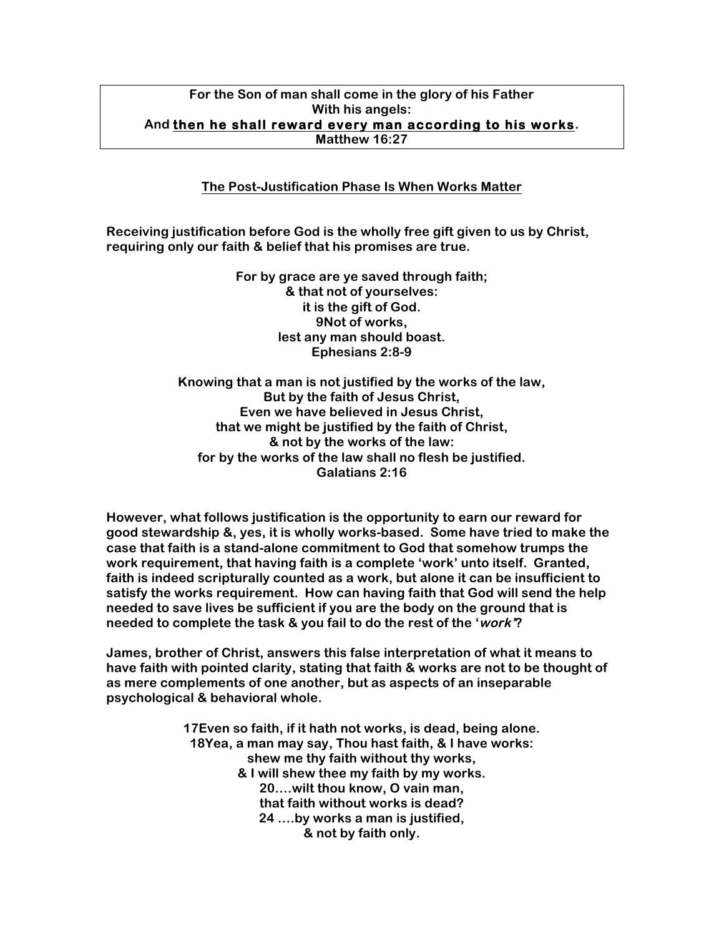## **For the Son of man shall come in the glory of his Father With his angels: And then he shall reward every man according to his works. Matthew 16:27**

## **The Post-Justification Phase Is When Works Matter**

**Receiving justification before God is the wholly free gift given to us by Christ, requiring only our faith & belief that his promises are true.** 

> **For by grace are ye saved through faith; & that not of yourselves: it is the gift of God. 9Not of works, lest any man should boast. Ephesians 2:8-9**

**Knowing that a man is not justified by the works of the law, But by the faith of Jesus Christ, Even we have believed in Jesus Christ, that we might be justified by the faith of Christ, & not by the works of the law: for by the works of the law shall no flesh be justified. Galatians 2:16**

**However, what follows justification is the opportunity to earn our reward for good stewardship &, yes, it is wholly works-based. Some have tried to make the case that faith is a stand-alone commitment to God that somehow trumps the work requirement, that having faith is a complete 'work' unto itself. Granted, faith is indeed scripturally counted as a work, but alone it can be insufficient to satisfy the works requirement. How can having faith that God will send the help needed to save lives be sufficient if you are the body on the ground that is needed to complete the task & you fail to do the rest of the 'work'?**

**James, brother of Christ, answers this false interpretation of what it means to have faith with pointed clarity, stating that faith & works are not to be thought of as mere complements of one another, but as aspects of an inseparable psychological & behavioral whole.**

> **17Even so faith, if it hath not works, is dead, being alone. 18Yea, a man may say, Thou hast faith, & I have works: shew me thy faith without thy works, & I will shew thee my faith by my works. 20….wilt thou know, O vain man, that faith without works is dead? 24 ….by works a man is justified, & not by faith only.**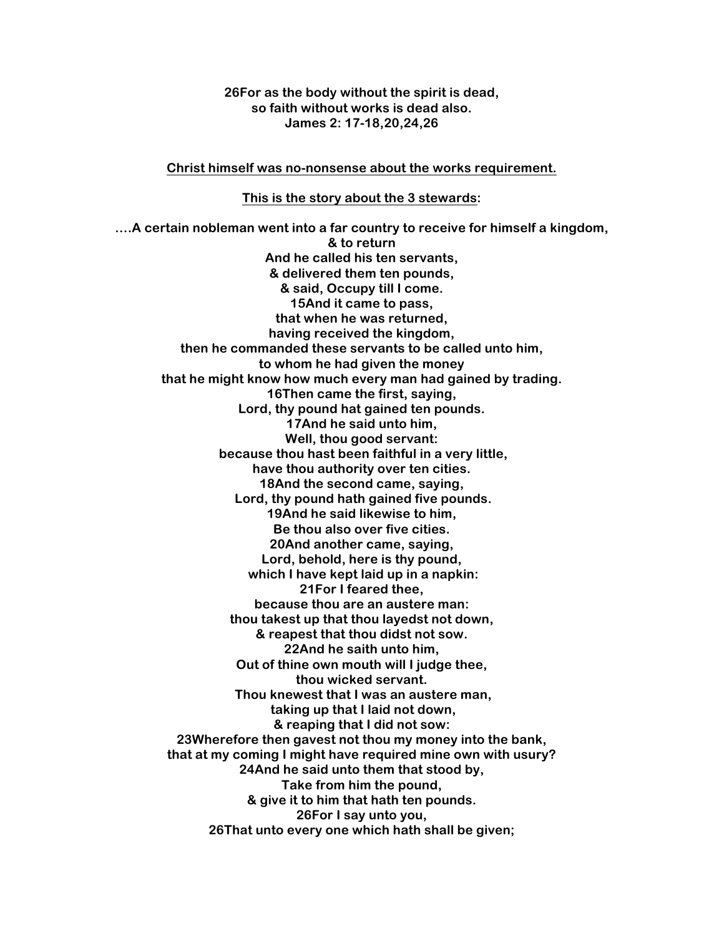**26For as the body without the spirit is dead, so faith without works is dead also. James 2: 17-18,20,24,26**

**Christ himself was no-nonsense about the works requirement.**

**This is the story about the 3 stewards:**

**….A certain nobleman went into a far country to receive for himself a kingdom, & to return And he called his ten servants, & delivered them ten pounds, & said, Occupy till I come. 15And it came to pass, that when he was returned, having received the kingdom, then he commanded these servants to be called unto him, to whom he had given the money that he might know how much every man had gained by trading. 16Then came the first, saying, Lord, thy pound hat gained ten pounds. 17And he said unto him, Well, thou good servant: because thou hast been faithful in a very little, have thou authority over ten cities. 18And the second came, saying, Lord, thy pound hath gained five pounds. 19And he said likewise to him, Be thou also over five cities. 20And another came, saying, Lord, behold, here is thy pound, which I have kept laid up in a napkin: 21For I feared thee, because thou are an austere man: thou takest up that thou layedst not down, & reapest that thou didst not sow. 22And he saith unto him, Out of thine own mouth will I judge thee, thou wicked servant. Thou knewest that I was an austere man, taking up that I laid not down, & reaping that I did not sow: 23Wherefore then gavest not thou my money into the bank, that at my coming I might have required mine own with usury? 24And he said unto them that stood by, Take from him the pound, & give it to him that hath ten pounds. 26For I say unto you, 26That unto every one which hath shall be given;**